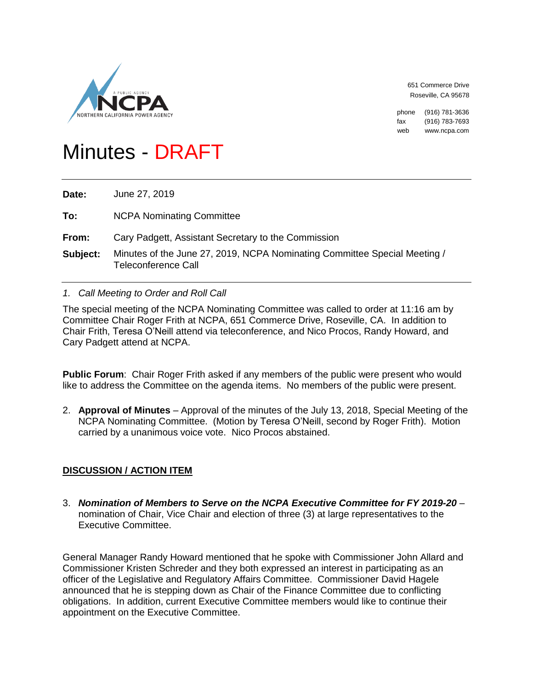

651 Commerce Drive Roseville, CA 95678

phone (916) 781-3636 fax (916) 783-7693 web www.ncpa.com

# Minutes - DRAFT

**Date:** June 27, 2019

- **To:** NCPA Nominating Committee
- **From:** Cary Padgett, Assistant Secretary to the Commission
- **Subject:** Minutes of the June 27, 2019, NCPA Nominating Committee Special Meeting / Teleconference Call

#### *1. Call Meeting to Order and Roll Call*

The special meeting of the NCPA Nominating Committee was called to order at 11:16 am by Committee Chair Roger Frith at NCPA, 651 Commerce Drive, Roseville, CA. In addition to Chair Frith, Teresa O'Neill attend via teleconference, and Nico Procos, Randy Howard, and Cary Padgett attend at NCPA.

**Public Forum**: Chair Roger Frith asked if any members of the public were present who would like to address the Committee on the agenda items. No members of the public were present.

2. **Approval of Minutes** – Approval of the minutes of the July 13, 2018, Special Meeting of the NCPA Nominating Committee. (Motion by Teresa O'Neill, second by Roger Frith). Motion carried by a unanimous voice vote. Nico Procos abstained.

## **DISCUSSION / ACTION ITEM**

3. *Nomination of Members to Serve on the NCPA Executive Committee for FY 2019-20* – nomination of Chair, Vice Chair and election of three (3) at large representatives to the Executive Committee.

General Manager Randy Howard mentioned that he spoke with Commissioner John Allard and Commissioner Kristen Schreder and they both expressed an interest in participating as an officer of the Legislative and Regulatory Affairs Committee. Commissioner David Hagele announced that he is stepping down as Chair of the Finance Committee due to conflicting obligations. In addition, current Executive Committee members would like to continue their appointment on the Executive Committee.